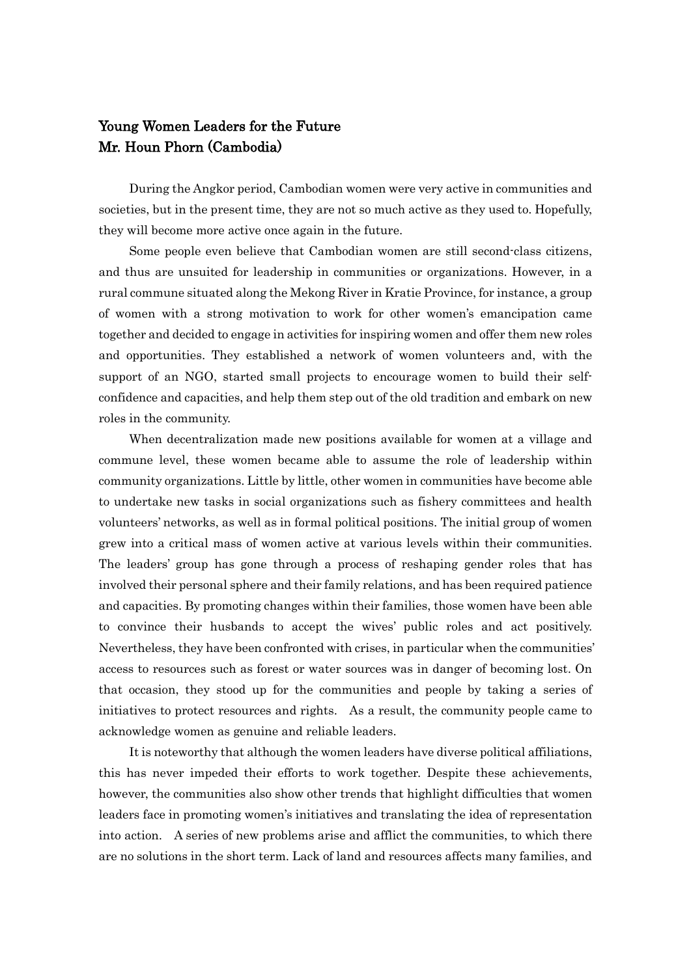## Young Women Leaders for the Future Mr. Houn Phorn (Cambodia)

During the Angkor period, Cambodian women were very active in communities and societies, but in the present time, they are not so much active as they used to. Hopefully, they will become more active once again in the future.

Some people even believe that Cambodian women are still second-class citizens, and thus are unsuited for leadership in communities or organizations. However, in a rural commune situated along the Mekong River in Kratie Province, for instance, a group of women with a strong motivation to work for other women's emancipation came together and decided to engage in activities for inspiring women and offer them new roles and opportunities. They established a network of women volunteers and, with the support of an NGO, started small projects to encourage women to build their selfconfidence and capacities, and help them step out of the old tradition and embark on new roles in the community.

When decentralization made new positions available for women at a village and commune level, these women became able to assume the role of leadership within community organizations. Little by little, other women in communities have become able to undertake new tasks in social organizations such as fishery committees and health volunteers' networks, as well as in formal political positions. The initial group of women grew into a critical mass of women active at various levels within their communities. The leaders' group has gone through a process of reshaping gender roles that has involved their personal sphere and their family relations, and has been required patience and capacities. By promoting changes within their families, those women have been able to convince their husbands to accept the wives' public roles and act positively. Nevertheless, they have been confronted with crises, in particular when the communities' access to resources such as forest or water sources was in danger of becoming lost. On that occasion, they stood up for the communities and people by taking a series of initiatives to protect resources and rights. As a result, the community people came to acknowledge women as genuine and reliable leaders.

It is noteworthy that although the women leaders have diverse political affiliations, this has never impeded their efforts to work together. Despite these achievements, however, the communities also show other trends that highlight difficulties that women leaders face in promoting women's initiatives and translating the idea of representation into action. A series of new problems arise and afflict the communities, to which there are no solutions in the short term. Lack of land and resources affects many families, and